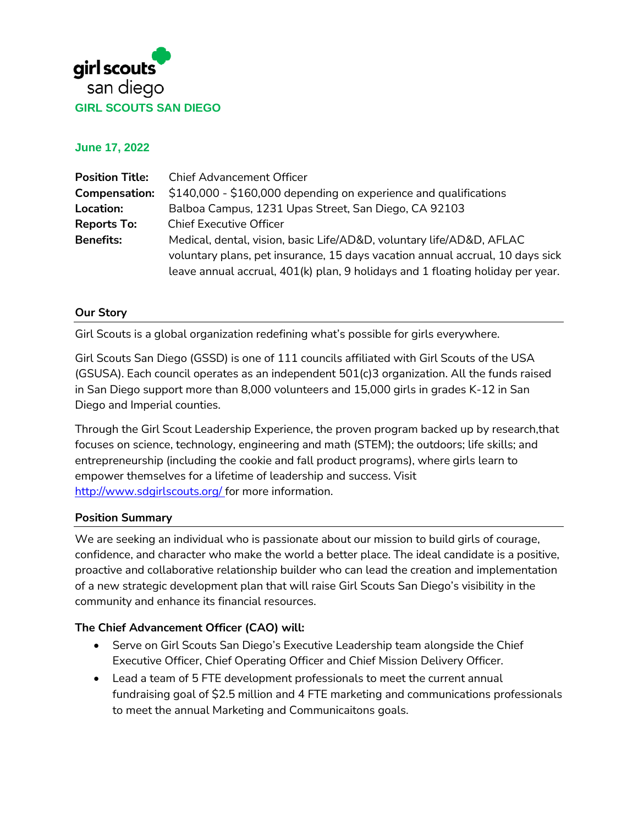

**June 17, 2022**

| Chief Advancement Officer                                                      |
|--------------------------------------------------------------------------------|
| \$140,000 - \$160,000 depending on experience and qualifications               |
| Balboa Campus, 1231 Upas Street, San Diego, CA 92103                           |
| <b>Chief Executive Officer</b>                                                 |
| Medical, dental, vision, basic Life/AD&D, voluntary life/AD&D, AFLAC           |
| voluntary plans, pet insurance, 15 days vacation annual accrual, 10 days sick  |
| leave annual accrual, 401(k) plan, 9 holidays and 1 floating holiday per year. |
|                                                                                |

#### **Our Story**

Girl Scouts is a global organization redefining what's possible for girls everywhere.

Girl Scouts San Diego (GSSD) is one of 111 councils affiliated with Girl Scouts of the USA (GSUSA). Each council operates as an independent 501(c)3 organization. All the funds raised in San Diego support more than 8,000 volunteers and 15,000 girls in grades K-12 in San Diego and Imperial counties.

Through the Girl Scout Leadership Experience, the proven program backed up by research,that focuses on science, technology, engineering and math (STEM); the outdoors; life skills; and entrepreneurship (including the cookie and fall product programs), where girls learn to empower themselves for a lifetime of leadership and success. Visit <http://www.sdgirlscouts.org/> for more information.

#### **Position Summary**

We are seeking an individual who is passionate about our mission to build girls of courage, confidence, and character who make the world a better place. The ideal candidate is a positive, proactive and collaborative relationship builder who can lead the creation and implementation of a new strategic development plan that will raise Girl Scouts San Diego's visibility in the community and enhance its financial resources.

#### **The Chief Advancement Officer (CAO) will:**

- Serve on Girl Scouts San Diego's Executive Leadership team alongside the Chief Executive Officer, Chief Operating Officer and Chief Mission Delivery Officer.
- Lead a team of 5 FTE development professionals to meet the current annual fundraising goal of \$2.5 million and 4 FTE marketing and communications professionals to meet the annual Marketing and Communicaitons goals.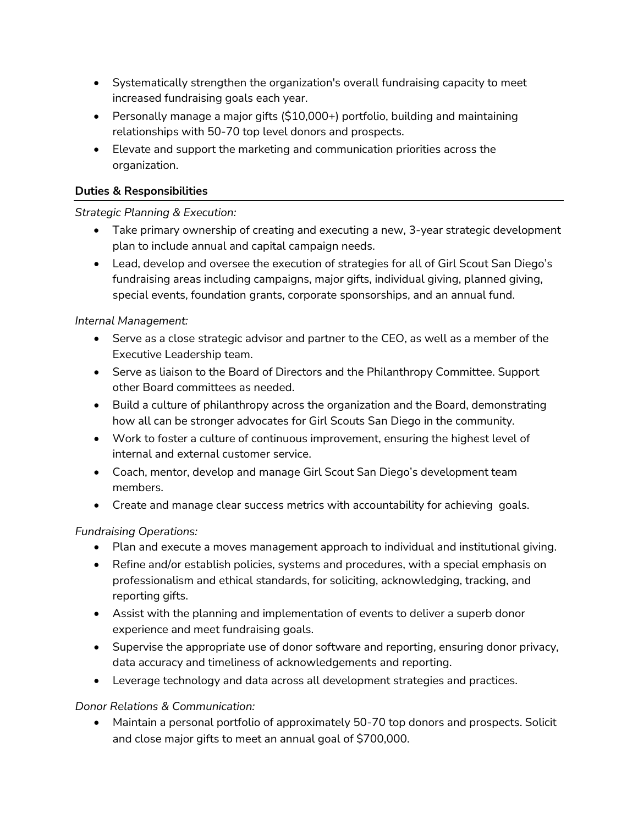- Systematically strengthen the organization's overall fundraising capacity to meet increased fundraising goals each year.
- Personally manage a major gifts (\$10,000+) portfolio, building and maintaining relationships with 50-70 top level donors and prospects.
- Elevate and support the marketing and communication priorities across the organization.

## **Duties & Responsibilities**

## *Strategic Planning & Execution:*

- Take primary ownership of creating and executing a new, 3-year strategic development plan to include annual and capital campaign needs.
- Lead, develop and oversee the execution of strategies for all of Girl Scout San Diego's fundraising areas including campaigns, major gifts, individual giving, planned giving, special events, foundation grants, corporate sponsorships, and an annual fund.

## *Internal Management:*

- Serve as a close strategic advisor and partner to the CEO, as well as a member of the Executive Leadership team.
- Serve as liaison to the Board of Directors and the Philanthropy Committee. Support other Board committees as needed.
- Build a culture of philanthropy across the organization and the Board, demonstrating how all can be stronger advocates for Girl Scouts San Diego in the community.
- Work to foster a culture of continuous improvement, ensuring the highest level of internal and external customer service.
- Coach, mentor, develop and manage Girl Scout San Diego's development team members.
- Create and manage clear success metrics with accountability for achieving goals.

# *Fundraising Operations:*

- Plan and execute a moves management approach to individual and institutional giving.
- Refine and/or establish policies, systems and procedures, with a special emphasis on professionalism and ethical standards, for soliciting, acknowledging, tracking, and reporting gifts.
- Assist with the planning and implementation of events to deliver a superb donor experience and meet fundraising goals.
- Supervise the appropriate use of donor software and reporting, ensuring donor privacy, data accuracy and timeliness of acknowledgements and reporting.
- Leverage technology and data across all development strategies and practices.

### *Donor Relations & Communication:*

• Maintain a personal portfolio of approximately 50-70 top donors and prospects. Solicit and close major gifts to meet an annual goal of \$700,000.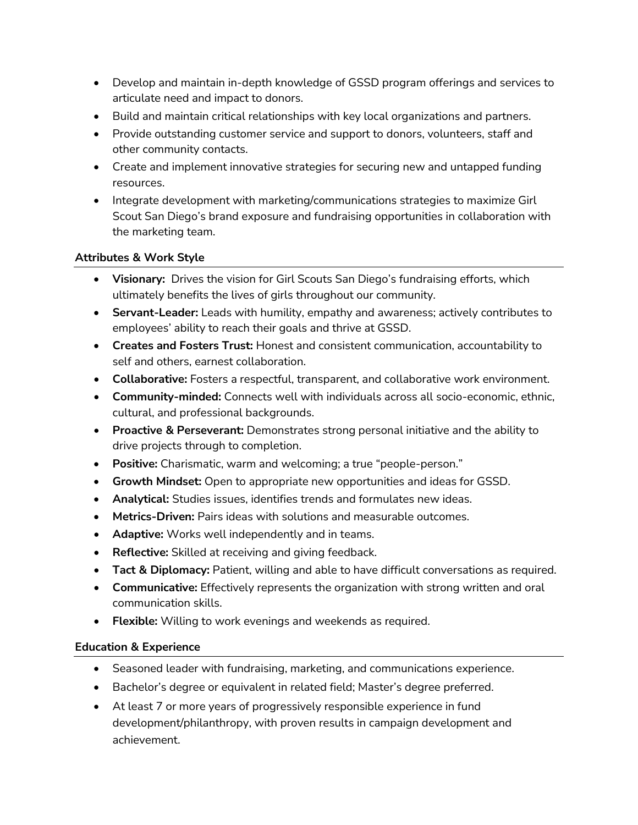- Develop and maintain in-depth knowledge of GSSD program offerings and services to articulate need and impact to donors.
- Build and maintain critical relationships with key local organizations and partners.
- Provide outstanding customer service and support to donors, volunteers, staff and other community contacts.
- Create and implement innovative strategies for securing new and untapped funding resources.
- Integrate development with marketing/communications strategies to maximize Girl Scout San Diego's brand exposure and fundraising opportunities in collaboration with the marketing team.

### **Attributes & Work Style**

- **Visionary:** Drives the vision for Girl Scouts San Diego's fundraising efforts, which ultimately benefits the lives of girls throughout our community.
- **Servant-Leader:** Leads with humility, empathy and awareness; actively contributes to employees' ability to reach their goals and thrive at GSSD.
- **Creates and Fosters Trust:** Honest and consistent communication, accountability to self and others, earnest collaboration.
- **Collaborative:** Fosters a respectful, transparent, and collaborative work environment.
- **Community-minded:** Connects well with individuals across all socio-economic, ethnic, cultural, and professional backgrounds.
- **Proactive & Perseverant:** Demonstrates strong personal initiative and the ability to drive projects through to completion.
- **Positive:** Charismatic, warm and welcoming; a true "people-person."
- **Growth Mindset:** Open to appropriate new opportunities and ideas for GSSD.
- **Analytical:** Studies issues, identifies trends and formulates new ideas.
- **Metrics-Driven:** Pairs ideas with solutions and measurable outcomes.
- **Adaptive:** Works well independently and in teams.
- **Reflective:** Skilled at receiving and giving feedback.
- **Tact & Diplomacy:** Patient, willing and able to have difficult conversations as required.
- **Communicative:** Effectively represents the organization with strong written and oral communication skills.
- **Flexible:** Willing to work evenings and weekends as required.

### **Education & Experience**

- Seasoned leader with fundraising, marketing, and communications experience.
- Bachelor's degree or equivalent in related field; Master's degree preferred.
- At least 7 or more years of progressively responsible experience in fund development/philanthropy, with proven results in campaign development and achievement.